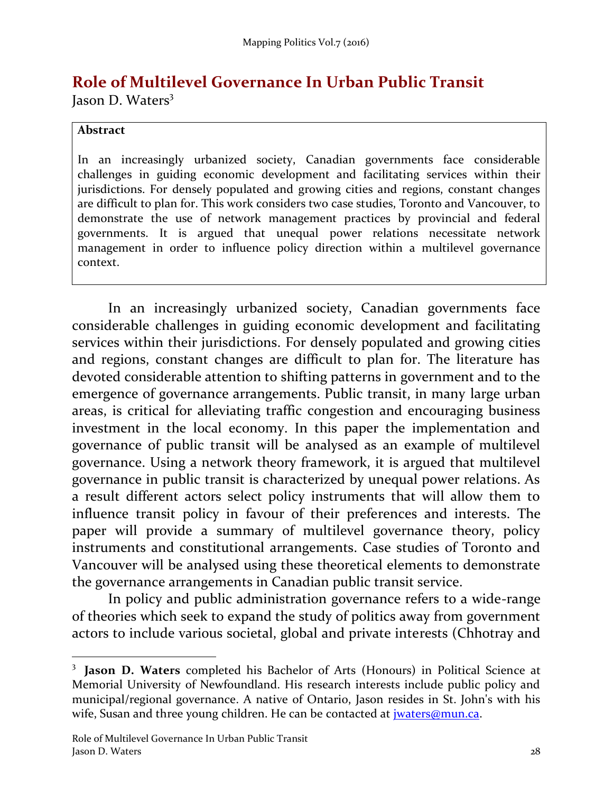# **Role of Multilevel Governance In Urban Public Transit**

Jason D. Waters<sup>3</sup>

#### **Abstract**

 $\overline{\phantom{0}}$ 

In an increasingly urbanized society, Canadian governments face considerable challenges in guiding economic development and facilitating services within their jurisdictions. For densely populated and growing cities and regions, constant changes are difficult to plan for. This work considers two case studies, Toronto and Vancouver, to demonstrate the use of network management practices by provincial and federal governments. It is argued that unequal power relations necessitate network management in order to influence policy direction within a multilevel governance context.

In an increasingly urbanized society, Canadian governments face considerable challenges in guiding economic development and facilitating services within their jurisdictions. For densely populated and growing cities and regions, constant changes are difficult to plan for. The literature has devoted considerable attention to shifting patterns in government and to the emergence of governance arrangements. Public transit, in many large urban areas, is critical for alleviating traffic congestion and encouraging business investment in the local economy. In this paper the implementation and governance of public transit will be analysed as an example of multilevel governance. Using a network theory framework, it is argued that multilevel governance in public transit is characterized by unequal power relations. As a result different actors select policy instruments that will allow them to influence transit policy in favour of their preferences and interests. The paper will provide a summary of multilevel governance theory, policy instruments and constitutional arrangements. Case studies of Toronto and Vancouver will be analysed using these theoretical elements to demonstrate the governance arrangements in Canadian public transit service.

In policy and public administration governance refers to a wide-range of theories which seek to expand the study of politics away from government actors to include various societal, global and private interests (Chhotray and

<sup>3</sup> **Jason D. Waters** completed his Bachelor of Arts (Honours) in Political Science at Memorial University of Newfoundland. His research interests include public policy and municipal/regional governance. A native of Ontario, Jason resides in St. John's with his wife, Susan and three young children. He can be contacted at *jwaters@mun.ca*.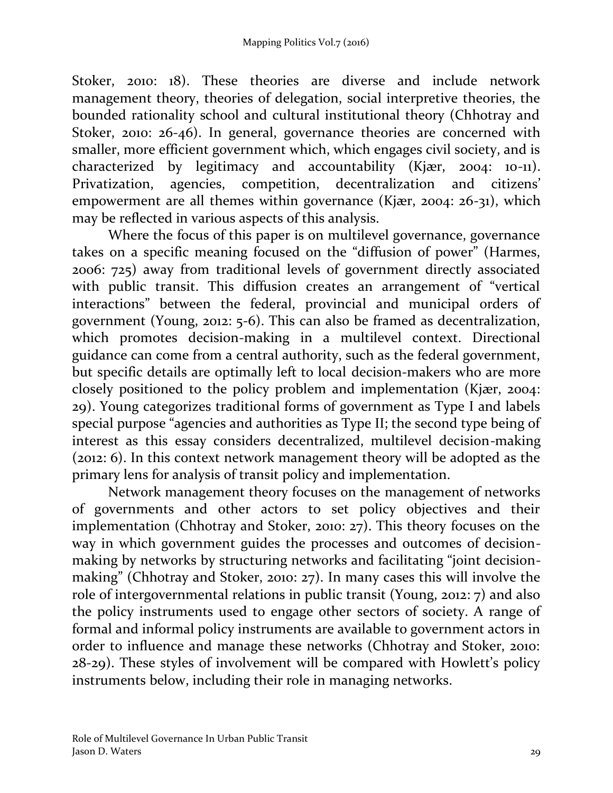Stoker, 2010: 18). These theories are diverse and include network management theory, theories of delegation, social interpretive theories, the bounded rationality school and cultural institutional theory (Chhotray and Stoker, 2010: 26-46). In general, governance theories are concerned with smaller, more efficient government which, which engages civil society, and is characterized by legitimacy and accountability (Kjær, 2004: 10-11). Privatization, agencies, competition, decentralization and citizens' empowerment are all themes within governance (Kjær, 2004: 26-31), which may be reflected in various aspects of this analysis.

Where the focus of this paper is on multilevel governance, governance takes on a specific meaning focused on the "diffusion of power" (Harmes, 2006: 725) away from traditional levels of government directly associated with public transit. This diffusion creates an arrangement of "vertical interactions" between the federal, provincial and municipal orders of government (Young, 2012: 5-6). This can also be framed as decentralization, which promotes decision-making in a multilevel context. Directional guidance can come from a central authority, such as the federal government, but specific details are optimally left to local decision-makers who are more closely positioned to the policy problem and implementation (Kjær, 2004: 29). Young categorizes traditional forms of government as Type I and labels special purpose "agencies and authorities as Type II; the second type being of interest as this essay considers decentralized, multilevel decision-making (2012: 6). In this context network management theory will be adopted as the primary lens for analysis of transit policy and implementation.

Network management theory focuses on the management of networks of governments and other actors to set policy objectives and their implementation (Chhotray and Stoker, 2010: 27). This theory focuses on the way in which government guides the processes and outcomes of decisionmaking by networks by structuring networks and facilitating "joint decisionmaking" (Chhotray and Stoker, 2010: 27). In many cases this will involve the role of intergovernmental relations in public transit (Young, 2012: 7) and also the policy instruments used to engage other sectors of society. A range of formal and informal policy instruments are available to government actors in order to influence and manage these networks (Chhotray and Stoker, 2010: 28-29). These styles of involvement will be compared with Howlett's policy instruments below, including their role in managing networks.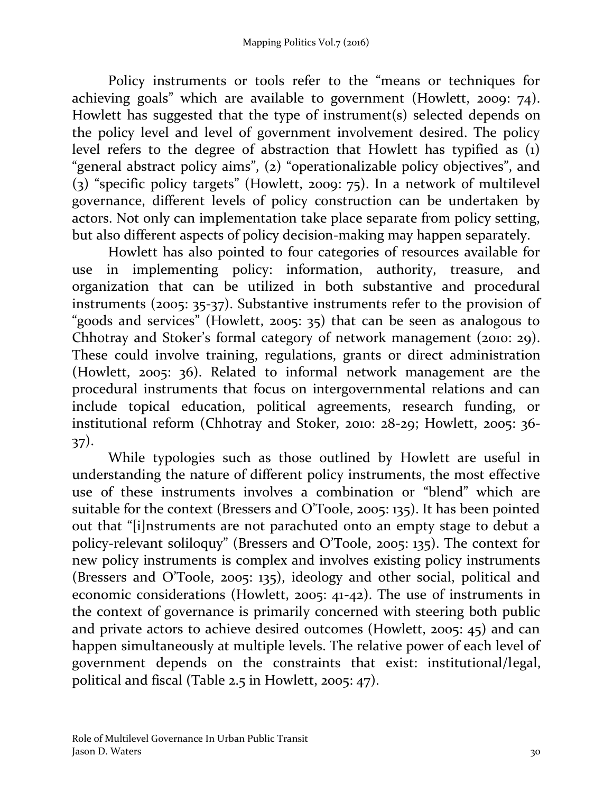Policy instruments or tools refer to the "means or techniques for achieving goals" which are available to government (Howlett, 2009: 74). Howlett has suggested that the type of instrument(s) selected depends on the policy level and level of government involvement desired. The policy level refers to the degree of abstraction that Howlett has typified as (1) "general abstract policy aims", (2) "operationalizable policy objectives", and (3) "specific policy targets" (Howlett, 2009: 75). In a network of multilevel governance, different levels of policy construction can be undertaken by actors. Not only can implementation take place separate from policy setting, but also different aspects of policy decision-making may happen separately.

Howlett has also pointed to four categories of resources available for use in implementing policy: information, authority, treasure, and organization that can be utilized in both substantive and procedural instruments (2005: 35-37). Substantive instruments refer to the provision of "goods and services" (Howlett, 2005: 35) that can be seen as analogous to Chhotray and Stoker's formal category of network management (2010: 29). These could involve training, regulations, grants or direct administration (Howlett, 2005: 36). Related to informal network management are the procedural instruments that focus on intergovernmental relations and can include topical education, political agreements, research funding, or institutional reform (Chhotray and Stoker, 2010: 28-29; Howlett, 2005: 36- 37).

While typologies such as those outlined by Howlett are useful in understanding the nature of different policy instruments, the most effective use of these instruments involves a combination or "blend" which are suitable for the context (Bressers and O'Toole, 2005: 135). It has been pointed out that "[i]nstruments are not parachuted onto an empty stage to debut a policy-relevant soliloquy" (Bressers and O'Toole, 2005: 135). The context for new policy instruments is complex and involves existing policy instruments (Bressers and O'Toole, 2005: 135), ideology and other social, political and economic considerations (Howlett, 2005: 41-42). The use of instruments in the context of governance is primarily concerned with steering both public and private actors to achieve desired outcomes (Howlett, 2005: 45) and can happen simultaneously at multiple levels. The relative power of each level of government depends on the constraints that exist: institutional/legal, political and fiscal (Table 2.5 in Howlett, 2005: 47).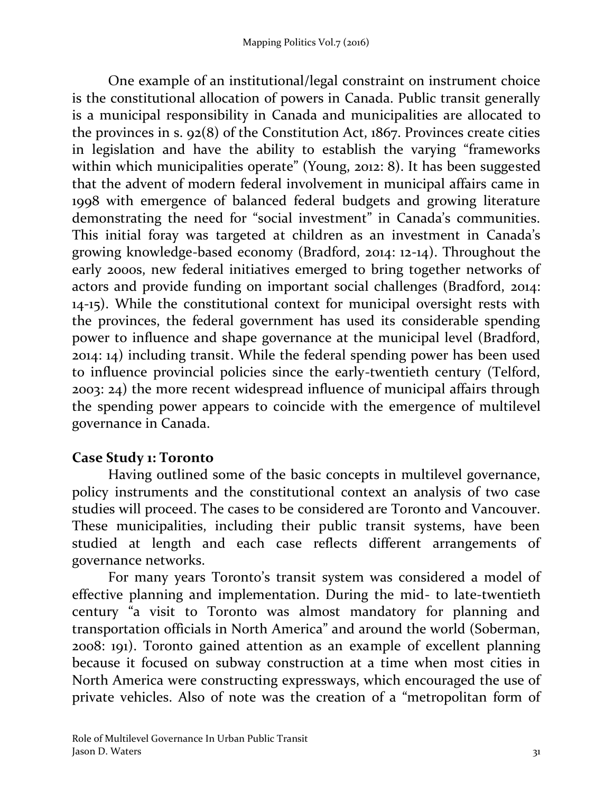One example of an institutional/legal constraint on instrument choice is the constitutional allocation of powers in Canada. Public transit generally is a municipal responsibility in Canada and municipalities are allocated to the provinces in s. 92(8) of the Constitution Act, 1867. Provinces create cities in legislation and have the ability to establish the varying "frameworks within which municipalities operate" (Young, 2012: 8). It has been suggested that the advent of modern federal involvement in municipal affairs came in 1998 with emergence of balanced federal budgets and growing literature demonstrating the need for "social investment" in Canada's communities. This initial foray was targeted at children as an investment in Canada's growing knowledge-based economy (Bradford, 2014: 12-14). Throughout the early 2000s, new federal initiatives emerged to bring together networks of actors and provide funding on important social challenges (Bradford, 2014: 14-15). While the constitutional context for municipal oversight rests with the provinces, the federal government has used its considerable spending power to influence and shape governance at the municipal level (Bradford, 2014: 14) including transit. While the federal spending power has been used to influence provincial policies since the early-twentieth century (Telford, 2003: 24) the more recent widespread influence of municipal affairs through the spending power appears to coincide with the emergence of multilevel governance in Canada.

# **Case Study 1: Toronto**

Having outlined some of the basic concepts in multilevel governance, policy instruments and the constitutional context an analysis of two case studies will proceed. The cases to be considered are Toronto and Vancouver. These municipalities, including their public transit systems, have been studied at length and each case reflects different arrangements of governance networks.

For many years Toronto's transit system was considered a model of effective planning and implementation. During the mid- to late-twentieth century "a visit to Toronto was almost mandatory for planning and transportation officials in North America" and around the world (Soberman, 2008: 191). Toronto gained attention as an example of excellent planning because it focused on subway construction at a time when most cities in North America were constructing expressways, which encouraged the use of private vehicles. Also of note was the creation of a "metropolitan form of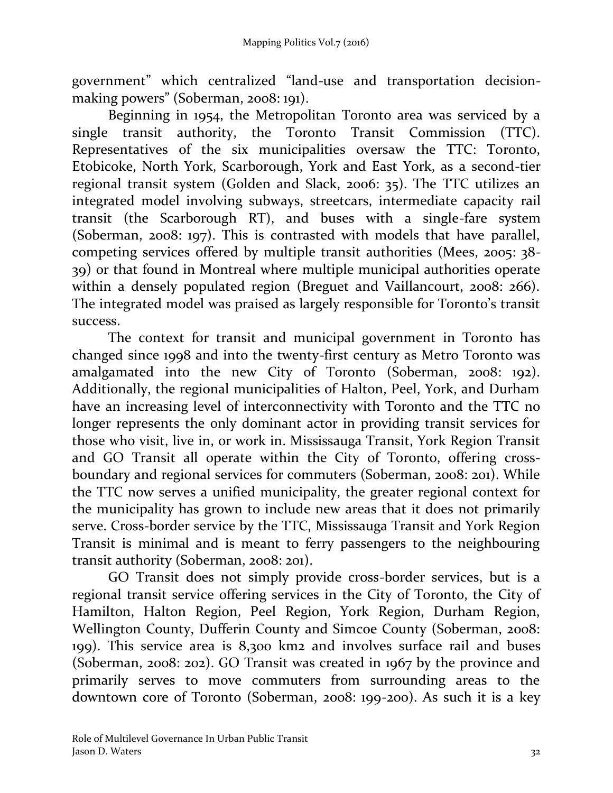government" which centralized "land-use and transportation decisionmaking powers" (Soberman, 2008: 191).

Beginning in 1954, the Metropolitan Toronto area was serviced by a single transit authority, the Toronto Transit Commission (TTC). Representatives of the six municipalities oversaw the TTC: Toronto, Etobicoke, North York, Scarborough, York and East York, as a second-tier regional transit system (Golden and Slack, 2006: 35). The TTC utilizes an integrated model involving subways, streetcars, intermediate capacity rail transit (the Scarborough RT), and buses with a single-fare system (Soberman, 2008: 197). This is contrasted with models that have parallel, competing services offered by multiple transit authorities (Mees, 2005: 38- 39) or that found in Montreal where multiple municipal authorities operate within a densely populated region (Breguet and Vaillancourt, 2008: 266). The integrated model was praised as largely responsible for Toronto's transit success.

The context for transit and municipal government in Toronto has changed since 1998 and into the twenty-first century as Metro Toronto was amalgamated into the new City of Toronto (Soberman, 2008: 192). Additionally, the regional municipalities of Halton, Peel, York, and Durham have an increasing level of interconnectivity with Toronto and the TTC no longer represents the only dominant actor in providing transit services for those who visit, live in, or work in. Mississauga Transit, York Region Transit and GO Transit all operate within the City of Toronto, offering crossboundary and regional services for commuters (Soberman, 2008: 201). While the TTC now serves a unified municipality, the greater regional context for the municipality has grown to include new areas that it does not primarily serve. Cross-border service by the TTC, Mississauga Transit and York Region Transit is minimal and is meant to ferry passengers to the neighbouring transit authority (Soberman, 2008: 201).

GO Transit does not simply provide cross-border services, but is a regional transit service offering services in the City of Toronto, the City of Hamilton, Halton Region, Peel Region, York Region, Durham Region, Wellington County, Dufferin County and Simcoe County (Soberman, 2008: 199). This service area is 8,300 km2 and involves surface rail and buses (Soberman, 2008: 202). GO Transit was created in 1967 by the province and primarily serves to move commuters from surrounding areas to the downtown core of Toronto (Soberman, 2008: 199-200). As such it is a key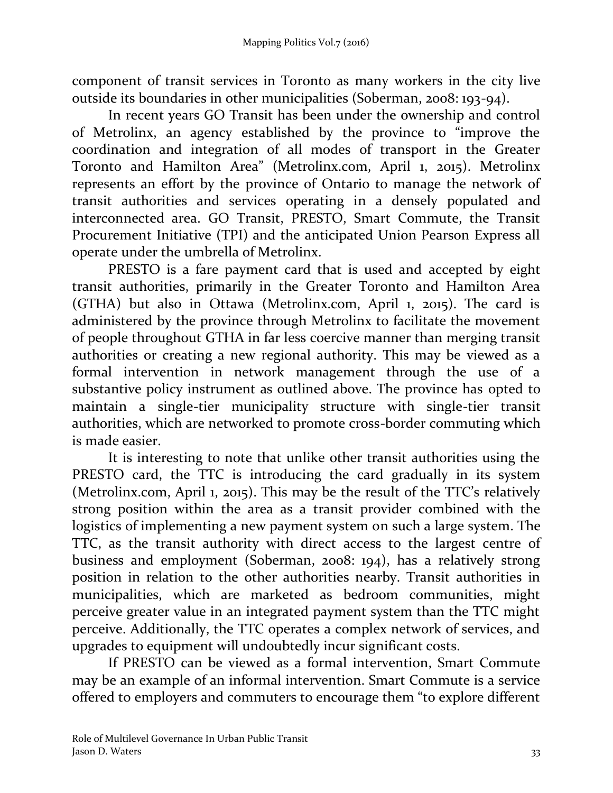component of transit services in Toronto as many workers in the city live outside its boundaries in other municipalities (Soberman, 2008: 193-94).

In recent years GO Transit has been under the ownership and control of Metrolinx, an agency established by the province to "improve the coordination and integration of all modes of transport in the Greater Toronto and Hamilton Area" (Metrolinx.com, April 1, 2015). Metrolinx represents an effort by the province of Ontario to manage the network of transit authorities and services operating in a densely populated and interconnected area. GO Transit, PRESTO, Smart Commute, the Transit Procurement Initiative (TPI) and the anticipated Union Pearson Express all operate under the umbrella of Metrolinx.

PRESTO is a fare payment card that is used and accepted by eight transit authorities, primarily in the Greater Toronto and Hamilton Area (GTHA) but also in Ottawa (Metrolinx.com, April 1, 2015). The card is administered by the province through Metrolinx to facilitate the movement of people throughout GTHA in far less coercive manner than merging transit authorities or creating a new regional authority. This may be viewed as a formal intervention in network management through the use of a substantive policy instrument as outlined above. The province has opted to maintain a single-tier municipality structure with single-tier transit authorities, which are networked to promote cross-border commuting which is made easier.

It is interesting to note that unlike other transit authorities using the PRESTO card, the TTC is introducing the card gradually in its system (Metrolinx.com, April 1, 2015). This may be the result of the TTC's relatively strong position within the area as a transit provider combined with the logistics of implementing a new payment system on such a large system. The TTC, as the transit authority with direct access to the largest centre of business and employment (Soberman, 2008: 194), has a relatively strong position in relation to the other authorities nearby. Transit authorities in municipalities, which are marketed as bedroom communities, might perceive greater value in an integrated payment system than the TTC might perceive. Additionally, the TTC operates a complex network of services, and upgrades to equipment will undoubtedly incur significant costs.

If PRESTO can be viewed as a formal intervention, Smart Commute may be an example of an informal intervention. Smart Commute is a service offered to employers and commuters to encourage them "to explore different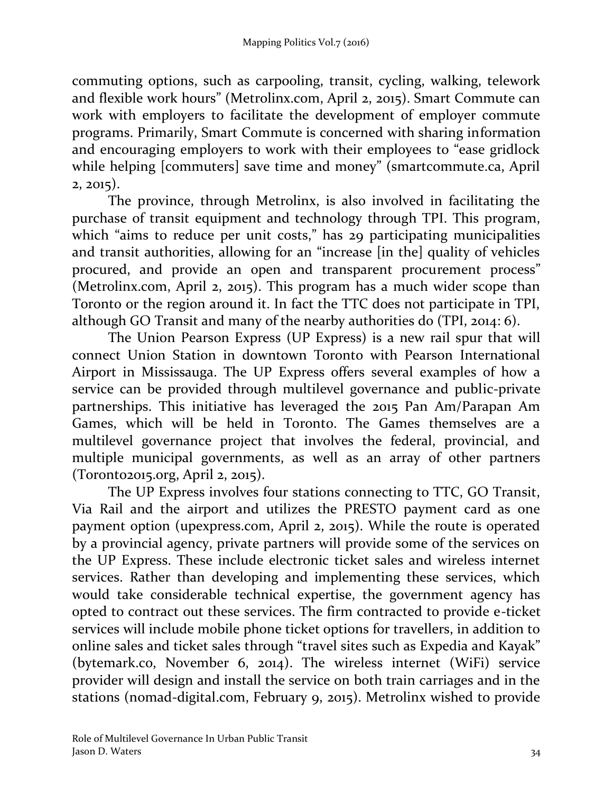commuting options, such as carpooling, transit, cycling, walking, telework and flexible work hours" (Metrolinx.com, April 2, 2015). Smart Commute can work with employers to facilitate the development of employer commute programs. Primarily, Smart Commute is concerned with sharing information and encouraging employers to work with their employees to "ease gridlock while helping [commuters] save time and money" (smartcommute.ca, April 2, 2015).

The province, through Metrolinx, is also involved in facilitating the purchase of transit equipment and technology through TPI. This program, which "aims to reduce per unit costs," has 29 participating municipalities and transit authorities, allowing for an "increase [in the] quality of vehicles procured, and provide an open and transparent procurement process" (Metrolinx.com, April 2, 2015). This program has a much wider scope than Toronto or the region around it. In fact the TTC does not participate in TPI, although GO Transit and many of the nearby authorities do (TPI, 2014: 6).

The Union Pearson Express (UP Express) is a new rail spur that will connect Union Station in downtown Toronto with Pearson International Airport in Mississauga. The UP Express offers several examples of how a service can be provided through multilevel governance and public-private partnerships. This initiative has leveraged the 2015 Pan Am/Parapan Am Games, which will be held in Toronto. The Games themselves are a multilevel governance project that involves the federal, provincial, and multiple municipal governments, as well as an array of other partners (Toronto2015.org, April 2, 2015).

The UP Express involves four stations connecting to TTC, GO Transit, Via Rail and the airport and utilizes the PRESTO payment card as one payment option (upexpress.com, April 2, 2015). While the route is operated by a provincial agency, private partners will provide some of the services on the UP Express. These include electronic ticket sales and wireless internet services. Rather than developing and implementing these services, which would take considerable technical expertise, the government agency has opted to contract out these services. The firm contracted to provide e-ticket services will include mobile phone ticket options for travellers, in addition to online sales and ticket sales through "travel sites such as Expedia and Kayak" (bytemark.co, November 6, 2014). The wireless internet (WiFi) service provider will design and install the service on both train carriages and in the stations (nomad-digital.com, February 9, 2015). Metrolinx wished to provide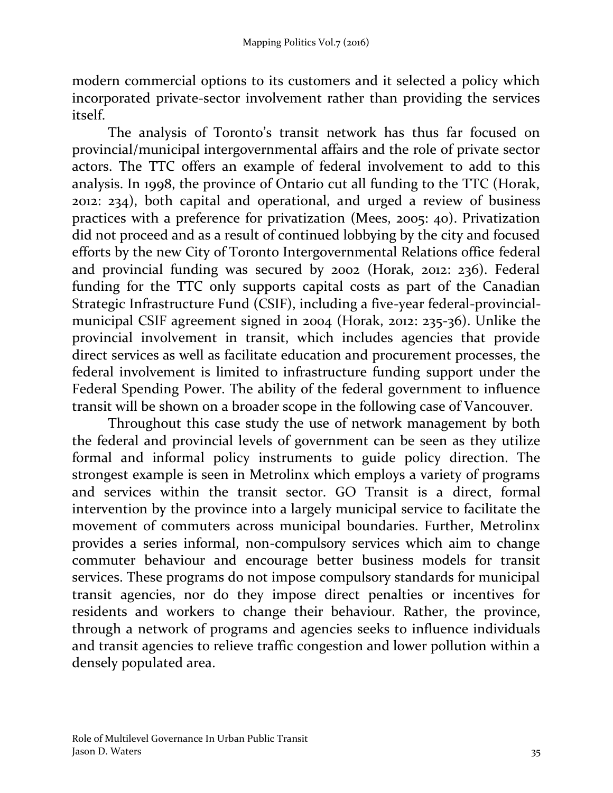modern commercial options to its customers and it selected a policy which incorporated private-sector involvement rather than providing the services itself.

The analysis of Toronto's transit network has thus far focused on provincial/municipal intergovernmental affairs and the role of private sector actors. The TTC offers an example of federal involvement to add to this analysis. In 1998, the province of Ontario cut all funding to the TTC (Horak, 2012: 234), both capital and operational, and urged a review of business practices with a preference for privatization (Mees, 2005: 40). Privatization did not proceed and as a result of continued lobbying by the city and focused efforts by the new City of Toronto Intergovernmental Relations office federal and provincial funding was secured by 2002 (Horak, 2012: 236). Federal funding for the TTC only supports capital costs as part of the Canadian Strategic Infrastructure Fund (CSIF), including a five-year federal-provincialmunicipal CSIF agreement signed in 2004 (Horak, 2012: 235-36). Unlike the provincial involvement in transit, which includes agencies that provide direct services as well as facilitate education and procurement processes, the federal involvement is limited to infrastructure funding support under the Federal Spending Power. The ability of the federal government to influence transit will be shown on a broader scope in the following case of Vancouver.

Throughout this case study the use of network management by both the federal and provincial levels of government can be seen as they utilize formal and informal policy instruments to guide policy direction. The strongest example is seen in Metrolinx which employs a variety of programs and services within the transit sector. GO Transit is a direct, formal intervention by the province into a largely municipal service to facilitate the movement of commuters across municipal boundaries. Further, Metrolinx provides a series informal, non-compulsory services which aim to change commuter behaviour and encourage better business models for transit services. These programs do not impose compulsory standards for municipal transit agencies, nor do they impose direct penalties or incentives for residents and workers to change their behaviour. Rather, the province, through a network of programs and agencies seeks to influence individuals and transit agencies to relieve traffic congestion and lower pollution within a densely populated area.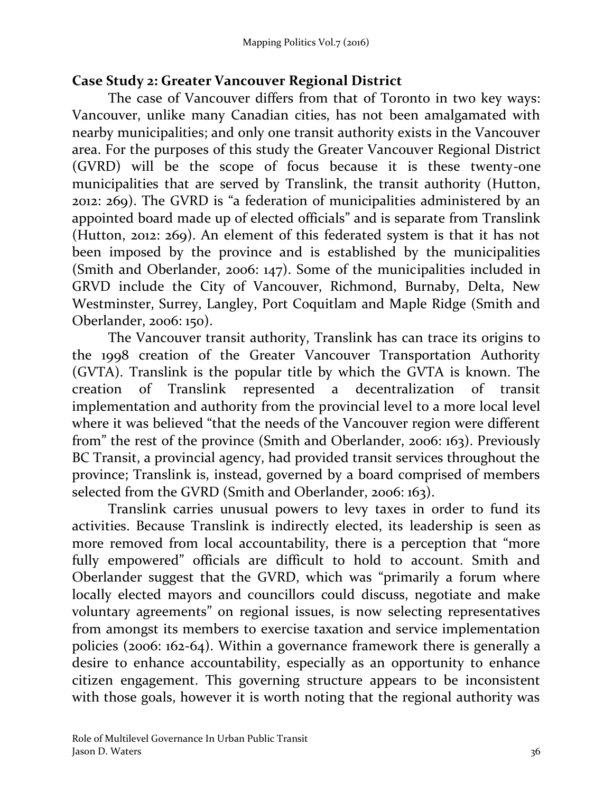### **Case Study 2: Greater Vancouver Regional District**

The case of Vancouver differs from that of Toronto in two key ways: Vancouver, unlike many Canadian cities, has not been amalgamated with nearby municipalities; and only one transit authority exists in the Vancouver area. For the purposes of this study the Greater Vancouver Regional District (GVRD) will be the scope of focus because it is these twenty-one municipalities that are served by Translink, the transit authority (Hutton, 2012: 269). The GVRD is "a federation of municipalities administered by an appointed board made up of elected officials" and is separate from Translink (Hutton, 2012: 269). An element of this federated system is that it has not been imposed by the province and is established by the municipalities (Smith and Oberlander, 2006: 147). Some of the municipalities included in GRVD include the City of Vancouver, Richmond, Burnaby, Delta, New Westminster, Surrey, Langley, Port Coquitlam and Maple Ridge (Smith and Oberlander, 2006: 150).

The Vancouver transit authority, Translink has can trace its origins to the 1998 creation of the Greater Vancouver Transportation Authority (GVTA). Translink is the popular title by which the GVTA is known. The creation of Translink represented a decentralization of transit implementation and authority from the provincial level to a more local level where it was believed "that the needs of the Vancouver region were different from" the rest of the province (Smith and Oberlander, 2006: 163). Previously BC Transit, a provincial agency, had provided transit services throughout the province; Translink is, instead, governed by a board comprised of members selected from the GVRD (Smith and Oberlander, 2006: 163).

Translink carries unusual powers to levy taxes in order to fund its activities. Because Translink is indirectly elected, its leadership is seen as more removed from local accountability, there is a perception that "more fully empowered" officials are difficult to hold to account. Smith and Oberlander suggest that the GVRD, which was "primarily a forum where locally elected mayors and councillors could discuss, negotiate and make voluntary agreements" on regional issues, is now selecting representatives from amongst its members to exercise taxation and service implementation policies (2006: 162-64). Within a governance framework there is generally a desire to enhance accountability, especially as an opportunity to enhance citizen engagement. This governing structure appears to be inconsistent with those goals, however it is worth noting that the regional authority was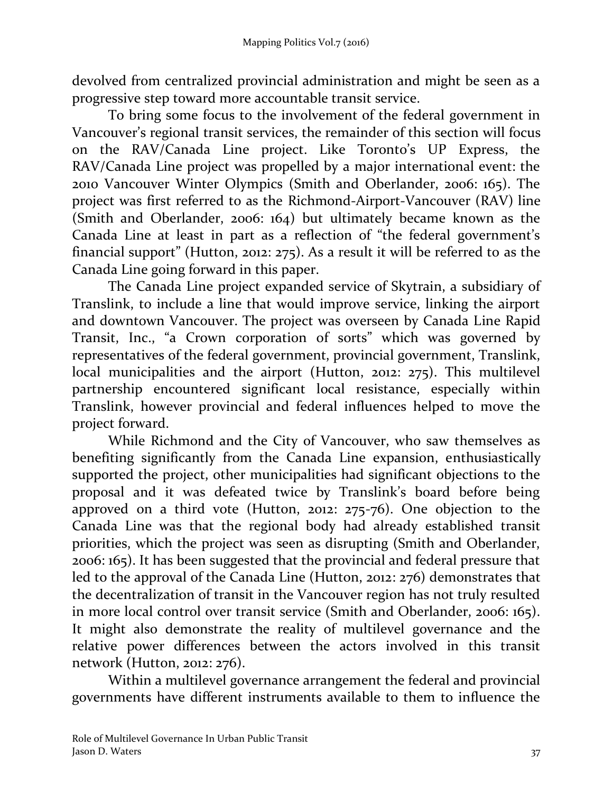devolved from centralized provincial administration and might be seen as a progressive step toward more accountable transit service.

To bring some focus to the involvement of the federal government in Vancouver's regional transit services, the remainder of this section will focus on the RAV/Canada Line project. Like Toronto's UP Express, the RAV/Canada Line project was propelled by a major international event: the 2010 Vancouver Winter Olympics (Smith and Oberlander, 2006: 165). The project was first referred to as the Richmond-Airport-Vancouver (RAV) line (Smith and Oberlander, 2006: 164) but ultimately became known as the Canada Line at least in part as a reflection of "the federal government's financial support" (Hutton, 2012: 275). As a result it will be referred to as the Canada Line going forward in this paper.

The Canada Line project expanded service of Skytrain, a subsidiary of Translink, to include a line that would improve service, linking the airport and downtown Vancouver. The project was overseen by Canada Line Rapid Transit, Inc., "a Crown corporation of sorts" which was governed by representatives of the federal government, provincial government, Translink, local municipalities and the airport (Hutton, 2012: 275). This multilevel partnership encountered significant local resistance, especially within Translink, however provincial and federal influences helped to move the project forward.

While Richmond and the City of Vancouver, who saw themselves as benefiting significantly from the Canada Line expansion, enthusiastically supported the project, other municipalities had significant objections to the proposal and it was defeated twice by Translink's board before being approved on a third vote (Hutton, 2012: 275-76). One objection to the Canada Line was that the regional body had already established transit priorities, which the project was seen as disrupting (Smith and Oberlander, 2006: 165). It has been suggested that the provincial and federal pressure that led to the approval of the Canada Line (Hutton, 2012: 276) demonstrates that the decentralization of transit in the Vancouver region has not truly resulted in more local control over transit service (Smith and Oberlander, 2006: 165). It might also demonstrate the reality of multilevel governance and the relative power differences between the actors involved in this transit network (Hutton, 2012: 276).

Within a multilevel governance arrangement the federal and provincial governments have different instruments available to them to influence the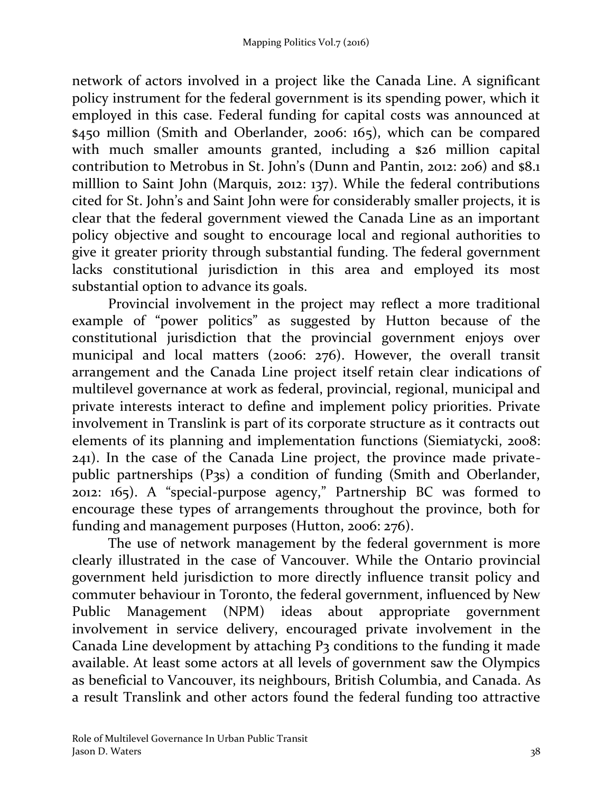network of actors involved in a project like the Canada Line. A significant policy instrument for the federal government is its spending power, which it employed in this case. Federal funding for capital costs was announced at \$450 million (Smith and Oberlander, 2006: 165), which can be compared with much smaller amounts granted, including a \$26 million capital contribution to Metrobus in St. John's (Dunn and Pantin, 2012: 206) and \$8.1 milllion to Saint John (Marquis, 2012: 137). While the federal contributions cited for St. John's and Saint John were for considerably smaller projects, it is clear that the federal government viewed the Canada Line as an important policy objective and sought to encourage local and regional authorities to give it greater priority through substantial funding. The federal government lacks constitutional jurisdiction in this area and employed its most substantial option to advance its goals.

Provincial involvement in the project may reflect a more traditional example of "power politics" as suggested by Hutton because of the constitutional jurisdiction that the provincial government enjoys over municipal and local matters (2006: 276). However, the overall transit arrangement and the Canada Line project itself retain clear indications of multilevel governance at work as federal, provincial, regional, municipal and private interests interact to define and implement policy priorities. Private involvement in Translink is part of its corporate structure as it contracts out elements of its planning and implementation functions (Siemiatycki, 2008: 241). In the case of the Canada Line project, the province made privatepublic partnerships (P3s) a condition of funding (Smith and Oberlander, 2012: 165). A "special-purpose agency," Partnership BC was formed to encourage these types of arrangements throughout the province, both for funding and management purposes (Hutton, 2006: 276).

The use of network management by the federal government is more clearly illustrated in the case of Vancouver. While the Ontario provincial government held jurisdiction to more directly influence transit policy and commuter behaviour in Toronto, the federal government, influenced by New Public Management (NPM) ideas about appropriate government involvement in service delivery, encouraged private involvement in the Canada Line development by attaching P3 conditions to the funding it made available. At least some actors at all levels of government saw the Olympics as beneficial to Vancouver, its neighbours, British Columbia, and Canada. As a result Translink and other actors found the federal funding too attractive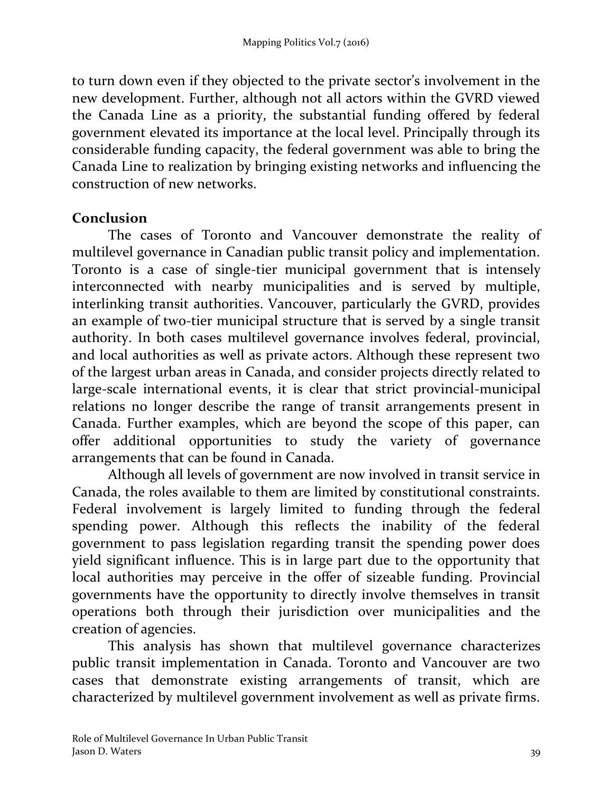to turn down even if they objected to the private sector's involvement in the new development. Further, although not all actors within the GVRD viewed the Canada Line as a priority, the substantial funding offered by federal government elevated its importance at the local level. Principally through its considerable funding capacity, the federal government was able to bring the Canada Line to realization by bringing existing networks and influencing the construction of new networks.

#### **Conclusion**

The cases of Toronto and Vancouver demonstrate the reality of multilevel governance in Canadian public transit policy and implementation. Toronto is a case of single-tier municipal government that is intensely interconnected with nearby municipalities and is served by multiple, interlinking transit authorities. Vancouver, particularly the GVRD, provides an example of two-tier municipal structure that is served by a single transit authority. In both cases multilevel governance involves federal, provincial, and local authorities as well as private actors. Although these represent two of the largest urban areas in Canada, and consider projects directly related to large-scale international events, it is clear that strict provincial-municipal relations no longer describe the range of transit arrangements present in Canada. Further examples, which are beyond the scope of this paper, can offer additional opportunities to study the variety of governance arrangements that can be found in Canada.

Although all levels of government are now involved in transit service in Canada, the roles available to them are limited by constitutional constraints. Federal involvement is largely limited to funding through the federal spending power. Although this reflects the inability of the federal government to pass legislation regarding transit the spending power does yield significant influence. This is in large part due to the opportunity that local authorities may perceive in the offer of sizeable funding. Provincial governments have the opportunity to directly involve themselves in transit operations both through their jurisdiction over municipalities and the creation of agencies.

This analysis has shown that multilevel governance characterizes public transit implementation in Canada. Toronto and Vancouver are two cases that demonstrate existing arrangements of transit, which are characterized by multilevel government involvement as well as private firms.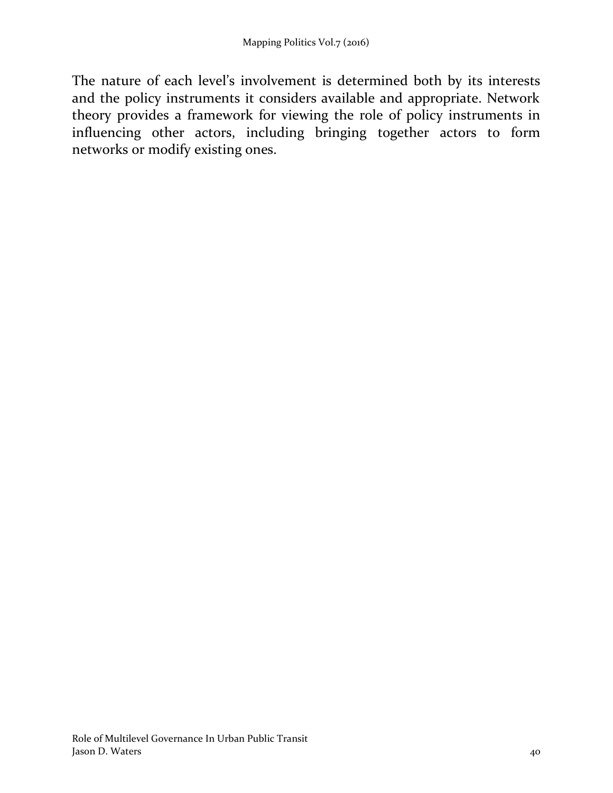The nature of each level's involvement is determined both by its interests and the policy instruments it considers available and appropriate. Network theory provides a framework for viewing the role of policy instruments in influencing other actors, including bringing together actors to form networks or modify existing ones.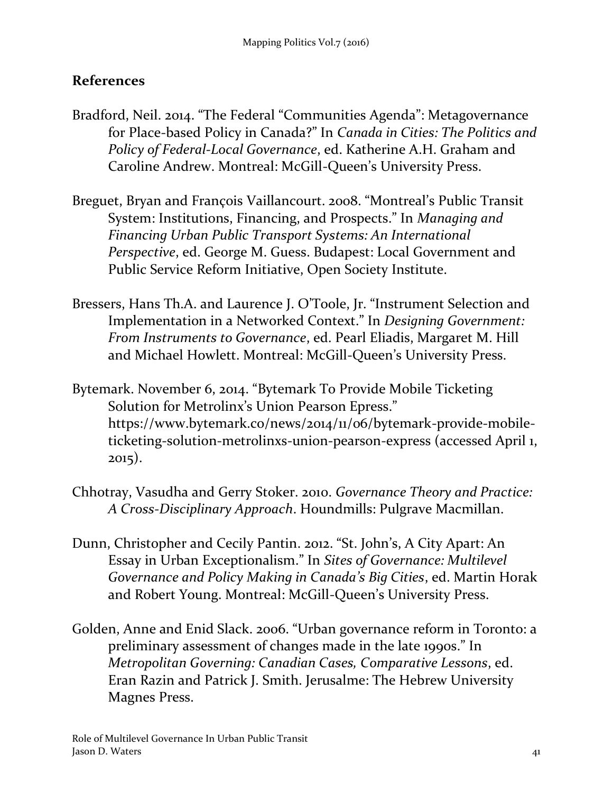# **References**

- Bradford, Neil. 2014. "The Federal "Communities Agenda": Metagovernance for Place-based Policy in Canada?" In *Canada in Cities: The Politics and Policy of Federal-Local Governance*, ed. Katherine A.H. Graham and Caroline Andrew. Montreal: McGill-Queen's University Press.
- Breguet, Bryan and François Vaillancourt. 2008. "Montreal's Public Transit System: Institutions, Financing, and Prospects." In *Managing and Financing Urban Public Transport Systems: An International Perspective*, ed. George M. Guess. Budapest: Local Government and Public Service Reform Initiative, Open Society Institute.
- Bressers, Hans Th.A. and Laurence J. O'Toole, Jr. "Instrument Selection and Implementation in a Networked Context." In *Designing Government: From Instruments to Governance*, ed. Pearl Eliadis, Margaret M. Hill and Michael Howlett. Montreal: McGill-Queen's University Press.
- Bytemark. November 6, 2014. "Bytemark To Provide Mobile Ticketing Solution for Metrolinx's Union Pearson Epress." https://www.bytemark.co/news/2014/11/06/bytemark-provide-mobileticketing-solution-metrolinxs-union-pearson-express (accessed April 1, 2015).
- Chhotray, Vasudha and Gerry Stoker. 2010. *Governance Theory and Practice: A Cross-Disciplinary Approach*. Houndmills: Pulgrave Macmillan.
- Dunn, Christopher and Cecily Pantin. 2012. "St. John's, A City Apart: An Essay in Urban Exceptionalism." In *Sites of Governance: Multilevel Governance and Policy Making in Canada's Big Cities*, ed. Martin Horak and Robert Young. Montreal: McGill-Queen's University Press.
- Golden, Anne and Enid Slack. 2006. "Urban governance reform in Toronto: a preliminary assessment of changes made in the late 1990s." In *Metropolitan Governing: Canadian Cases, Comparative Lessons*, ed. Eran Razin and Patrick J. Smith. Jerusalme: The Hebrew University Magnes Press.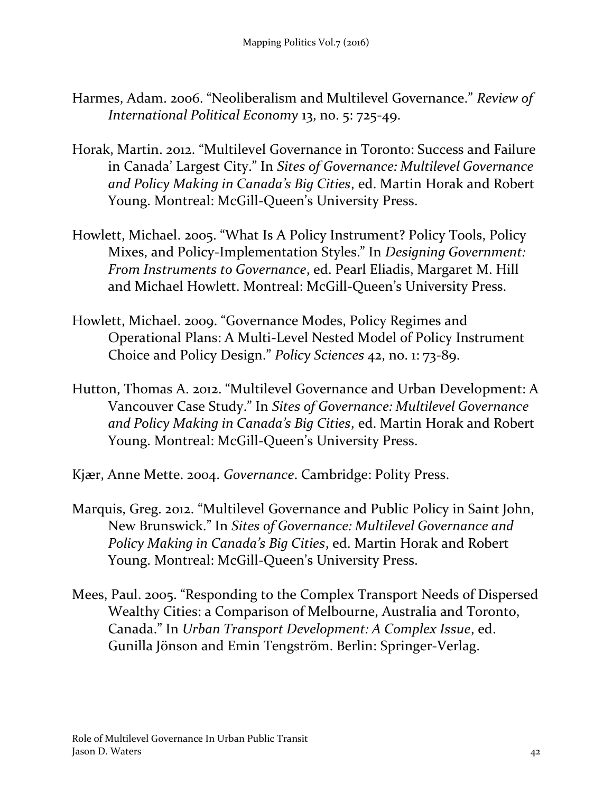- Harmes, Adam. 2006. "Neoliberalism and Multilevel Governance." *Review of International Political Economy* 13, no. 5: 725-49.
- Horak, Martin. 2012. "Multilevel Governance in Toronto: Success and Failure in Canada' Largest City." In *Sites of Governance: Multilevel Governance and Policy Making in Canada's Big Cities*, ed. Martin Horak and Robert Young. Montreal: McGill-Queen's University Press.
- Howlett, Michael. 2005. "What Is A Policy Instrument? Policy Tools, Policy Mixes, and Policy-Implementation Styles." In *Designing Government: From Instruments to Governance*, ed. Pearl Eliadis, Margaret M. Hill and Michael Howlett. Montreal: McGill-Queen's University Press.
- Howlett, Michael. 2009. "Governance Modes, Policy Regimes and Operational Plans: A Multi-Level Nested Model of Policy Instrument Choice and Policy Design." *Policy Sciences* 42, no. 1: 73-89.
- Hutton, Thomas A. 2012. "Multilevel Governance and Urban Development: A Vancouver Case Study." In *Sites of Governance: Multilevel Governance and Policy Making in Canada's Big Cities*, ed. Martin Horak and Robert Young. Montreal: McGill-Queen's University Press.
- Kjær, Anne Mette. 2004. *Governance*. Cambridge: Polity Press.
- Marquis, Greg. 2012. "Multilevel Governance and Public Policy in Saint John, New Brunswick." In *Sites of Governance: Multilevel Governance and Policy Making in Canada's Big Cities*, ed. Martin Horak and Robert Young. Montreal: McGill-Queen's University Press.
- Mees, Paul. 2005. "Responding to the Complex Transport Needs of Dispersed Wealthy Cities: a Comparison of Melbourne, Australia and Toronto, Canada." In *Urban Transport Development: A Complex Issue*, ed. Gunilla Jönson and Emin Tengström. Berlin: Springer-Verlag.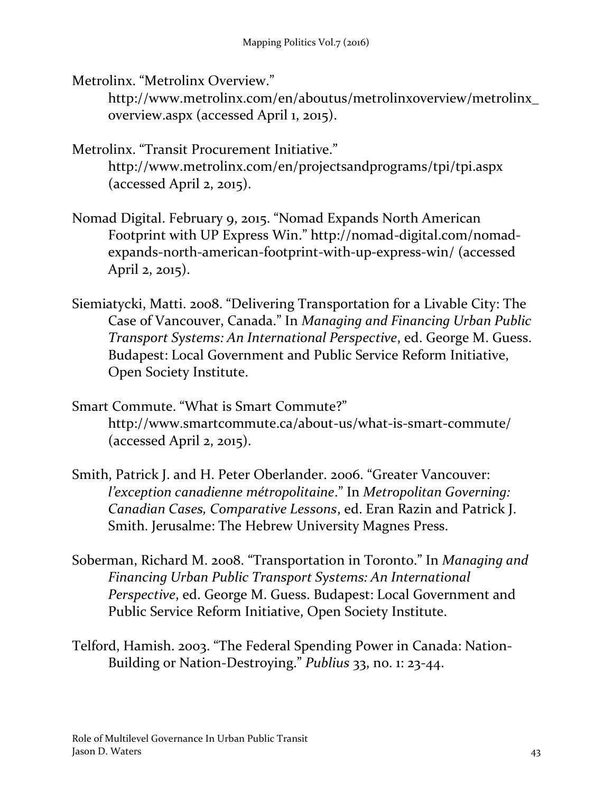Metrolinx. "Metrolinx Overview."

http://www.metrolinx.com/en/aboutus/metrolinxoverview/metrolinx\_ overview.aspx (accessed April 1, 2015).

- Metrolinx. "Transit Procurement Initiative." http://www.metrolinx.com/en/projectsandprograms/tpi/tpi.aspx (accessed April 2, 2015).
- Nomad Digital. February 9, 2015. "Nomad Expands North American Footprint with UP Express Win." http://nomad-digital.com/nomadexpands-north-american-footprint-with-up-express-win/ (accessed April 2, 2015).
- Siemiatycki, Matti. 2008. "Delivering Transportation for a Livable City: The Case of Vancouver, Canada." In *Managing and Financing Urban Public Transport Systems: An International Perspective*, ed. George M. Guess. Budapest: Local Government and Public Service Reform Initiative, Open Society Institute.
- Smart Commute. "What is Smart Commute?" http://www.smartcommute.ca/about-us/what-is-smart-commute/ (accessed April 2, 2015).
- Smith, Patrick J. and H. Peter Oberlander. 2006. "Greater Vancouver: *l'exception canadienne métropolitaine*." In *Metropolitan Governing: Canadian Cases, Comparative Lessons*, ed. Eran Razin and Patrick J. Smith. Jerusalme: The Hebrew University Magnes Press.
- Soberman, Richard M. 2008. "Transportation in Toronto." In *Managing and Financing Urban Public Transport Systems: An International Perspective*, ed. George M. Guess. Budapest: Local Government and Public Service Reform Initiative, Open Society Institute.
- Telford, Hamish. 2003. "The Federal Spending Power in Canada: Nation-Building or Nation-Destroying." *Publius* 33, no. 1: 23-44.